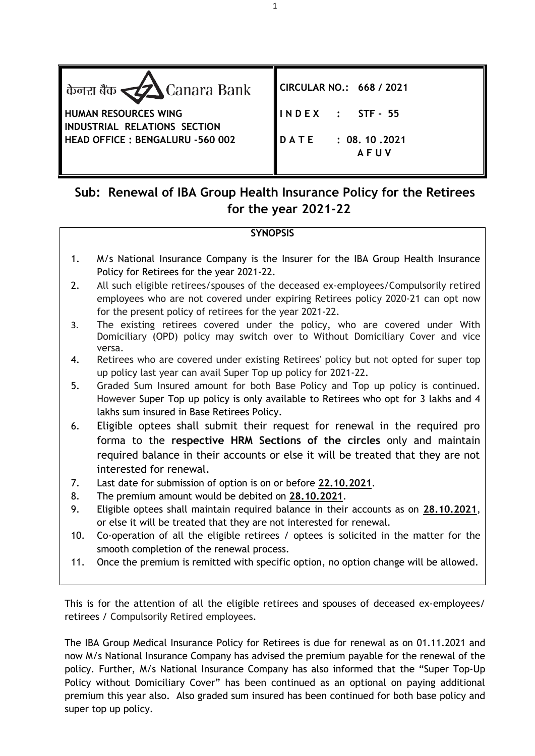

# **Sub: Renewal of IBA Group Health Insurance Policy for the Retirees for the year 2021-22**

## **SYNOPSIS**

- 1. M/s National Insurance Company is the Insurer for the IBA Group Health Insurance Policy for Retirees for the year 2021-22.
- 2. All such eligible retirees/spouses of the deceased ex-employees/Compulsorily retired employees who are not covered under expiring Retirees policy 2020-21 can opt now for the present policy of retirees for the year 2021-22.
- 3. The existing retirees covered under the policy, who are covered under With Domiciliary (OPD) policy may switch over to Without Domiciliary Cover and vice versa.
- 4. Retirees who are covered under existing Retirees' policy but not opted for super top up policy last year can avail Super Top up policy for 2021-22.
- 5. Graded Sum Insured amount for both Base Policy and Top up policy is continued. However Super Top up policy is only available to Retirees who opt for 3 lakhs and 4 lakhs sum insured in Base Retirees Policy.
- 6. Eligible optees shall submit their request for renewal in the required pro forma to the **respective HRM Sections of the circles** only and maintain required balance in their accounts or else it will be treated that they are not interested for renewal.
- 7. Last date for submission of option is on or before **22.10.2021**.
- 8. The premium amount would be debited on **28.10.2021**.
- 9. Eligible optees shall maintain required balance in their accounts as on **28.10.2021**, or else it will be treated that they are not interested for renewal.
- 10. Co-operation of all the eligible retirees / optees is solicited in the matter for the smooth completion of the renewal process.
- 11. Once the premium is remitted with specific option, no option change will be allowed.

This is for the attention of all the eligible retirees and spouses of deceased ex-employees/ retirees / Compulsorily Retired employees.

The IBA Group Medical Insurance Policy for Retirees is due for renewal as on 01.11.2021 and now M/s National Insurance Company has advised the premium payable for the renewal of the policy. Further, M/s National Insurance Company has also informed that the "Super Top-Up Policy without Domiciliary Cover" has been continued as an optional on paying additional premium this year also. Also graded sum insured has been continued for both base policy and super top up policy.

1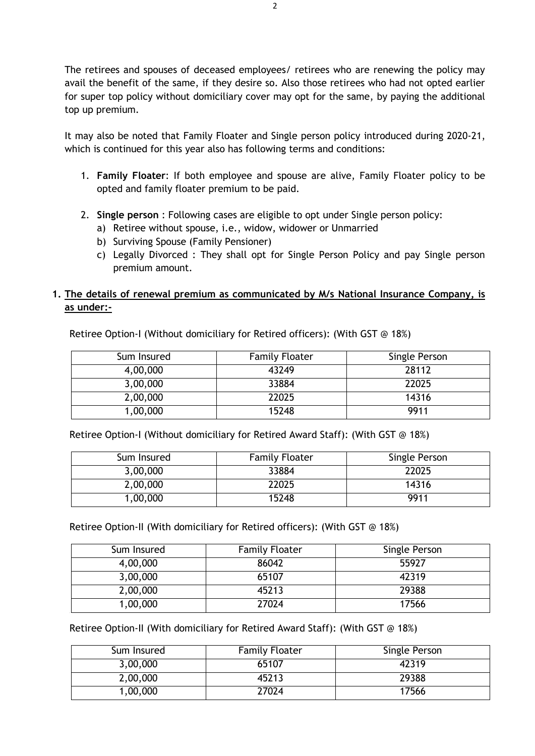The retirees and spouses of deceased employees/ retirees who are renewing the policy may avail the benefit of the same, if they desire so. Also those retirees who had not opted earlier for super top policy without domiciliary cover may opt for the same, by paying the additional top up premium.

It may also be noted that Family Floater and Single person policy introduced during 2020-21, which is continued for this year also has following terms and conditions:

- 1. **Family Floater**: If both employee and spouse are alive, Family Floater policy to be opted and family floater premium to be paid.
- 2. **Single person** : Following cases are eligible to opt under Single person policy:
	- a) Retiree without spouse, i.e., widow, widower or Unmarried
	- b) Surviving Spouse (Family Pensioner)
	- c) Legally Divorced : They shall opt for Single Person Policy and pay Single person premium amount.

### **1. The details of renewal premium as communicated by M/s National Insurance Company, is as under:-**

Retiree Option-I (Without domiciliary for Retired officers): (With GST @ 18%)

| Sum Insured | <b>Family Floater</b> | Single Person |
|-------------|-----------------------|---------------|
| 4,00,000    | 43249                 | 28112         |
| 3,00,000    | 33884                 | 22025         |
| 2,00,000    | 22025                 | 14316         |
| 1,00,000    | 15248                 | 9911          |

Retiree Option-I (Without domiciliary for Retired Award Staff): (With GST @ 18%)

| Sum Insured | <b>Family Floater</b> | Single Person |
|-------------|-----------------------|---------------|
| 3,00,000    | 33884                 | 22025         |
| 2,00,000    | 22025                 | 14316         |
| 1,00,000    | 15248                 | 9911          |

Retiree Option-II (With domiciliary for Retired officers): (With GST @ 18%)

| Sum Insured | <b>Family Floater</b> | Single Person |
|-------------|-----------------------|---------------|
| 4,00,000    | 86042                 | 55927         |
| 3,00,000    | 65107                 | 42319         |
| 2,00,000    | 45213                 | 29388         |
| 1,00,000    | 27024                 | 17566         |

Retiree Option-II (With domiciliary for Retired Award Staff): (With GST @ 18%)

| Sum Insured | <b>Family Floater</b> | Single Person |
|-------------|-----------------------|---------------|
| 3,00,000    | 65107                 | 42319         |
| 2,00,000    | 45213                 | 29388         |
| 1,00,000    | 27024                 | 17566         |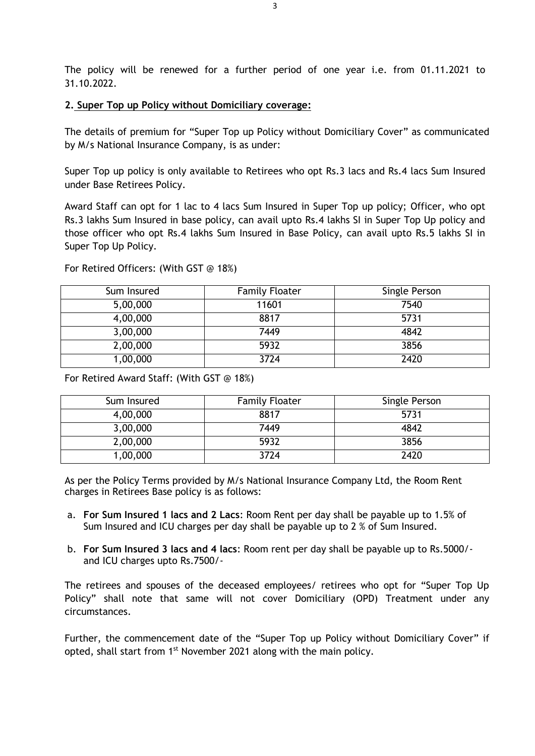The policy will be renewed for a further period of one year i.e. from 01.11.2021 to 31.10.2022.

#### **2. Super Top up Policy without Domiciliary coverage:**

The details of premium for "Super Top up Policy without Domiciliary Cover" as communicated by M/s National Insurance Company, is as under:

Super Top up policy is only available to Retirees who opt Rs.3 lacs and Rs.4 lacs Sum Insured under Base Retirees Policy.

Award Staff can opt for 1 lac to 4 lacs Sum Insured in Super Top up policy; Officer, who opt Rs.3 lakhs Sum Insured in base policy, can avail upto Rs.4 lakhs SI in Super Top Up policy and those officer who opt Rs.4 lakhs Sum Insured in Base Policy, can avail upto Rs.5 lakhs SI in Super Top Up Policy.

| Sum Insured | <b>Family Floater</b> | Single Person |
|-------------|-----------------------|---------------|
| 5,00,000    | 11601                 | 7540          |
| 4,00,000    | 8817                  | 5731          |
| 3,00,000    | 7449                  | 4842          |
| 2,00,000    | 5932                  | 3856          |
| 1,00,000    | 3724                  | 2420          |

For Retired Officers: (With GST @ 18%)

For Retired Award Staff: (With GST @ 18%)

| Sum Insured | <b>Family Floater</b> | Single Person |
|-------------|-----------------------|---------------|
| 4,00,000    | 8817                  | 5731          |
| 3,00,000    | 7449                  | 4842          |
| 2,00,000    | 5932                  | 3856          |
| 1,00,000    | 3724                  | 2420          |

As per the Policy Terms provided by M/s National Insurance Company Ltd, the Room Rent charges in Retirees Base policy is as follows:

- a. **For Sum Insured 1 lacs and 2 Lacs**: Room Rent per day shall be payable up to 1.5% of Sum Insured and ICU charges per day shall be payable up to 2 % of Sum Insured.
- b. **For Sum Insured 3 lacs and 4 lacs**: Room rent per day shall be payable up to Rs.5000/ and ICU charges upto Rs.7500/-

The retirees and spouses of the deceased employees/ retirees who opt for "Super Top Up Policy" shall note that same will not cover Domiciliary (OPD) Treatment under any circumstances.

Further, the commencement date of the "Super Top up Policy without Domiciliary Cover" if opted, shall start from 1<sup>st</sup> November 2021 along with the main policy.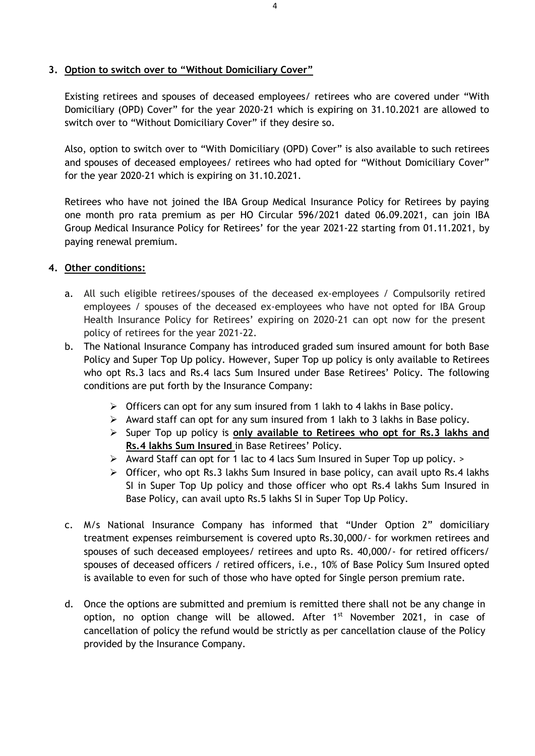#### **3. Option to switch over to "Without Domiciliary Cover"**

Existing retirees and spouses of deceased employees/ retirees who are covered under "With Domiciliary (OPD) Cover" for the year 2020-21 which is expiring on 31.10.2021 are allowed to switch over to "Without Domiciliary Cover" if they desire so.

Also, option to switch over to "With Domiciliary (OPD) Cover" is also available to such retirees and spouses of deceased employees/ retirees who had opted for "Without Domiciliary Cover" for the year 2020-21 which is expiring on 31.10.2021.

Retirees who have not joined the IBA Group Medical Insurance Policy for Retirees by paying one month pro rata premium as per HO Circular 596/2021 dated 06.09.2021, can join IBA Group Medical Insurance Policy for Retirees' for the year 2021-22 starting from 01.11.2021, by paying renewal premium.

#### **4. Other conditions:**

- a. All such eligible retirees/spouses of the deceased ex-employees / Compulsorily retired employees / spouses of the deceased ex-employees who have not opted for IBA Group Health Insurance Policy for Retirees' expiring on 2020-21 can opt now for the present policy of retirees for the year 2021-22.
- b. The National Insurance Company has introduced graded sum insured amount for both Base Policy and Super Top Up policy. However, Super Top up policy is only available to Retirees who opt Rs.3 lacs and Rs.4 lacs Sum Insured under Base Retirees' Policy. The following conditions are put forth by the Insurance Company:
	- $\triangleright$  Officers can opt for any sum insured from 1 lakh to 4 lakhs in Base policy.
	- $\triangleright$  Award staff can opt for any sum insured from 1 lakh to 3 lakhs in Base policy.
	- Super Top up policy is **only available to Retirees who opt for Rs.3 lakhs and Rs.4 lakhs Sum Insured** in Base Retirees' Policy.
	- $\triangleright$  Award Staff can opt for 1 lac to 4 lacs Sum Insured in Super Top up policy.  $\triangleright$
	- $\triangleright$  Officer, who opt Rs.3 lakhs Sum Insured in base policy, can avail upto Rs.4 lakhs SI in Super Top Up policy and those officer who opt Rs.4 lakhs Sum Insured in Base Policy, can avail upto Rs.5 lakhs SI in Super Top Up Policy.
- c. M/s National Insurance Company has informed that "Under Option 2" domiciliary treatment expenses reimbursement is covered upto Rs.30,000/- for workmen retirees and spouses of such deceased employees/ retirees and upto Rs. 40,000/- for retired officers/ spouses of deceased officers / retired officers, i.e., 10% of Base Policy Sum Insured opted is available to even for such of those who have opted for Single person premium rate.
- d. Once the options are submitted and premium is remitted there shall not be any change in option, no option change will be allowed. After 1<sup>st</sup> November 2021, in case of cancellation of policy the refund would be strictly as per cancellation clause of the Policy provided by the Insurance Company.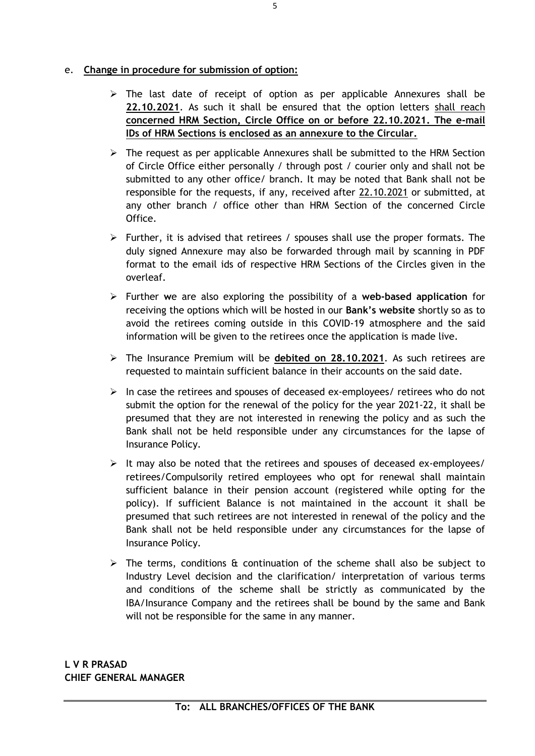### e. **Change in procedure for submission of option:**

- $\triangleright$  The last date of receipt of option as per applicable Annexures shall be **22.10.2021**. As such it shall be ensured that the option letters shall reach **concerned HRM Section, Circle Office on or before 22.10.2021. The e-mail IDs of HRM Sections is enclosed as an annexure to the Circular.**
- $\triangleright$  The request as per applicable Annexures shall be submitted to the HRM Section of Circle Office either personally / through post / courier only and shall not be submitted to any other office/ branch. It may be noted that Bank shall not be responsible for the requests, if any, received after 22.10.2021 or submitted, at any other branch / office other than HRM Section of the concerned Circle Office.
- $\triangleright$  Further, it is advised that retirees / spouses shall use the proper formats. The duly signed Annexure may also be forwarded through mail by scanning in PDF format to the email ids of respective HRM Sections of the Circles given in the overleaf.
- Further **w**e are also exploring the possibility of a **web-based application** for receiving the options which will be hosted in our **Bank's website** shortly so as to avoid the retirees coming outside in this COVID-19 atmosphere and the said information will be given to the retirees once the application is made live.
- The Insurance Premium will be **debited on 28.10.2021**. As such retirees are requested to maintain sufficient balance in their accounts on the said date.
- $\triangleright$  In case the retirees and spouses of deceased ex-employees/ retirees who do not submit the option for the renewal of the policy for the year 2021-22, it shall be presumed that they are not interested in renewing the policy and as such the Bank shall not be held responsible under any circumstances for the lapse of Insurance Policy.
- $\triangleright$  It may also be noted that the retirees and spouses of deceased ex-employees/ retirees/Compulsorily retired employees who opt for renewal shall maintain sufficient balance in their pension account (registered while opting for the policy). If sufficient Balance is not maintained in the account it shall be presumed that such retirees are not interested in renewal of the policy and the Bank shall not be held responsible under any circumstances for the lapse of Insurance Policy.
- $\triangleright$  The terms, conditions & continuation of the scheme shall also be subject to Industry Level decision and the clarification/ interpretation of various terms and conditions of the scheme shall be strictly as communicated by the IBA/Insurance Company and the retirees shall be bound by the same and Bank will not be responsible for the same in any manner.

**L V R PRASAD CHIEF GENERAL MANAGER**